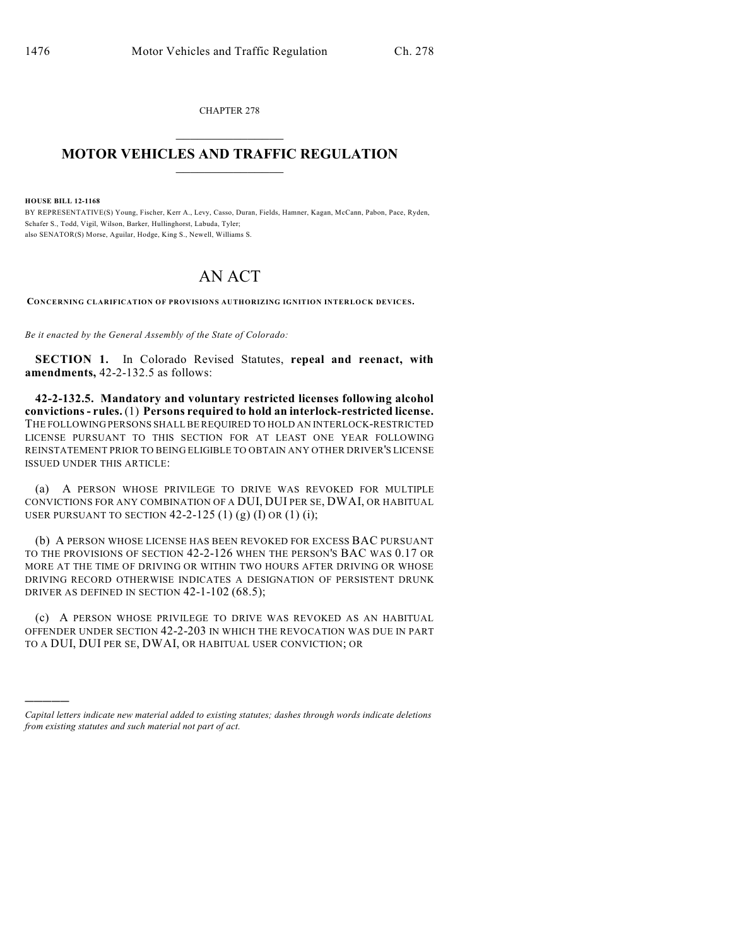CHAPTER 278

## $\mathcal{L}_\text{max}$  . The set of the set of the set of the set of the set of the set of the set of the set of the set of the set of the set of the set of the set of the set of the set of the set of the set of the set of the set **MOTOR VEHICLES AND TRAFFIC REGULATION**  $\frac{1}{2}$  ,  $\frac{1}{2}$  ,  $\frac{1}{2}$  ,  $\frac{1}{2}$  ,  $\frac{1}{2}$  ,  $\frac{1}{2}$  ,  $\frac{1}{2}$

**HOUSE BILL 12-1168**

)))))

BY REPRESENTATIVE(S) Young, Fischer, Kerr A., Levy, Casso, Duran, Fields, Hamner, Kagan, McCann, Pabon, Pace, Ryden, Schafer S., Todd, Vigil, Wilson, Barker, Hullinghorst, Labuda, Tyler; also SENATOR(S) Morse, Aguilar, Hodge, King S., Newell, Williams S.

## AN ACT

**CONCERNING CLARIFICATION OF PROVISIONS AUTHORIZING IGNITION INTERLOCK DEVICES.**

*Be it enacted by the General Assembly of the State of Colorado:*

**SECTION 1.** In Colorado Revised Statutes, **repeal and reenact, with amendments,** 42-2-132.5 as follows:

**42-2-132.5. Mandatory and voluntary restricted licenses following alcohol convictions- rules.** (1) **Persons required to hold an interlock-restricted license.** THE FOLLOWING PERSONS SHALL BE REQUIRED TO HOLD AN INTERLOCK-RESTRICTED LICENSE PURSUANT TO THIS SECTION FOR AT LEAST ONE YEAR FOLLOWING REINSTATEMENT PRIOR TO BEING ELIGIBLE TO OBTAIN ANY OTHER DRIVER'S LICENSE ISSUED UNDER THIS ARTICLE:

(a) A PERSON WHOSE PRIVILEGE TO DRIVE WAS REVOKED FOR MULTIPLE CONVICTIONS FOR ANY COMBINATION OF A DUI, DUI PER SE, DWAI, OR HABITUAL USER PURSUANT TO SECTION  $42-2-125$  (1) (g) (I) OR (1) (i);

(b) A PERSON WHOSE LICENSE HAS BEEN REVOKED FOR EXCESS BAC PURSUANT TO THE PROVISIONS OF SECTION 42-2-126 WHEN THE PERSON'S BAC WAS 0.17 OR MORE AT THE TIME OF DRIVING OR WITHIN TWO HOURS AFTER DRIVING OR WHOSE DRIVING RECORD OTHERWISE INDICATES A DESIGNATION OF PERSISTENT DRUNK DRIVER AS DEFINED IN SECTION 42-1-102 (68.5);

(c) A PERSON WHOSE PRIVILEGE TO DRIVE WAS REVOKED AS AN HABITUAL OFFENDER UNDER SECTION 42-2-203 IN WHICH THE REVOCATION WAS DUE IN PART TO A DUI, DUI PER SE, DWAI, OR HABITUAL USER CONVICTION; OR

*Capital letters indicate new material added to existing statutes; dashes through words indicate deletions from existing statutes and such material not part of act.*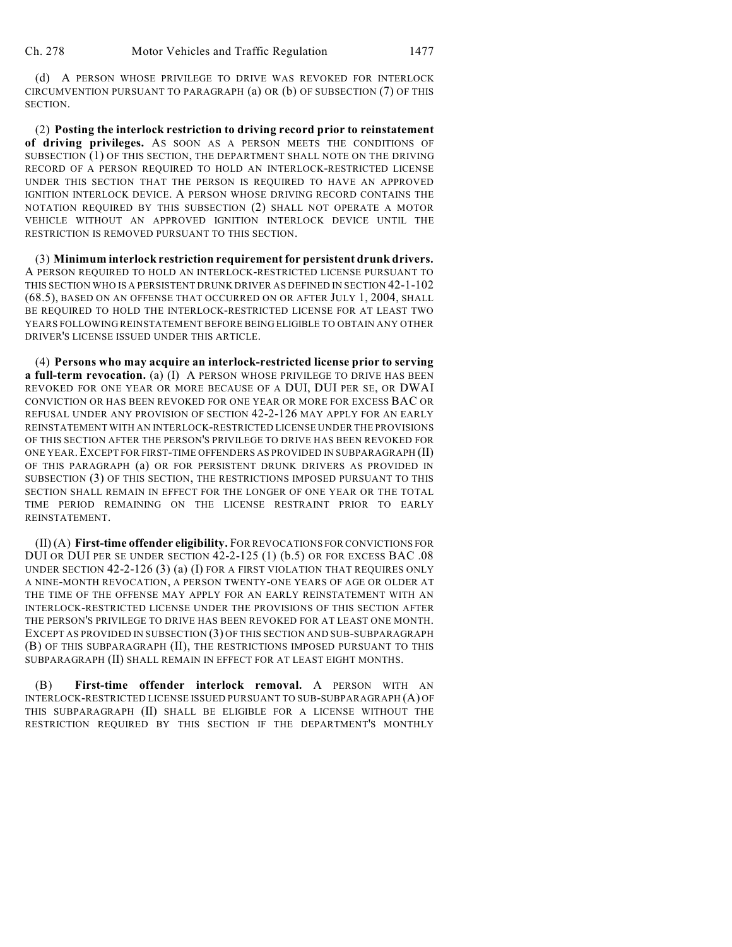(d) A PERSON WHOSE PRIVILEGE TO DRIVE WAS REVOKED FOR INTERLOCK CIRCUMVENTION PURSUANT TO PARAGRAPH (a) OR (b) OF SUBSECTION (7) OF THIS SECTION.

(2) **Posting the interlock restriction to driving record prior to reinstatement of driving privileges.** AS SOON AS A PERSON MEETS THE CONDITIONS OF SUBSECTION (1) OF THIS SECTION, THE DEPARTMENT SHALL NOTE ON THE DRIVING RECORD OF A PERSON REQUIRED TO HOLD AN INTERLOCK-RESTRICTED LICENSE UNDER THIS SECTION THAT THE PERSON IS REQUIRED TO HAVE AN APPROVED IGNITION INTERLOCK DEVICE. A PERSON WHOSE DRIVING RECORD CONTAINS THE NOTATION REQUIRED BY THIS SUBSECTION (2) SHALL NOT OPERATE A MOTOR VEHICLE WITHOUT AN APPROVED IGNITION INTERLOCK DEVICE UNTIL THE RESTRICTION IS REMOVED PURSUANT TO THIS SECTION.

(3) **Minimum interlock restriction requirement for persistent drunk drivers.** A PERSON REQUIRED TO HOLD AN INTERLOCK-RESTRICTED LICENSE PURSUANT TO THIS SECTION WHO IS A PERSISTENT DRUNK DRIVER AS DEFINED IN SECTION 42-1-102 (68.5), BASED ON AN OFFENSE THAT OCCURRED ON OR AFTER JULY 1, 2004, SHALL BE REQUIRED TO HOLD THE INTERLOCK-RESTRICTED LICENSE FOR AT LEAST TWO YEARS FOLLOWING REINSTATEMENT BEFORE BEING ELIGIBLE TO OBTAIN ANY OTHER DRIVER'S LICENSE ISSUED UNDER THIS ARTICLE.

(4) **Persons who may acquire an interlock-restricted license prior to serving a full-term revocation.** (a) (I) A PERSON WHOSE PRIVILEGE TO DRIVE HAS BEEN REVOKED FOR ONE YEAR OR MORE BECAUSE OF A DUI, DUI PER SE, OR DWAI CONVICTION OR HAS BEEN REVOKED FOR ONE YEAR OR MORE FOR EXCESS BAC OR REFUSAL UNDER ANY PROVISION OF SECTION 42-2-126 MAY APPLY FOR AN EARLY REINSTATEMENT WITH AN INTERLOCK-RESTRICTED LICENSE UNDER THE PROVISIONS OF THIS SECTION AFTER THE PERSON'S PRIVILEGE TO DRIVE HAS BEEN REVOKED FOR ONE YEAR.EXCEPT FOR FIRST-TIME OFFENDERS AS PROVIDED IN SUBPARAGRAPH (II) OF THIS PARAGRAPH (a) OR FOR PERSISTENT DRUNK DRIVERS AS PROVIDED IN SUBSECTION (3) OF THIS SECTION, THE RESTRICTIONS IMPOSED PURSUANT TO THIS SECTION SHALL REMAIN IN EFFECT FOR THE LONGER OF ONE YEAR OR THE TOTAL TIME PERIOD REMAINING ON THE LICENSE RESTRAINT PRIOR TO EARLY REINSTATEMENT.

(II) (A) **First-time offender eligibility.** FOR REVOCATIONS FOR CONVICTIONS FOR DUI OR DUI PER SE UNDER SECTION 42-2-125 (1) (b.5) OR FOR EXCESS BAC .08 UNDER SECTION 42-2-126 (3) (a) (I) FOR A FIRST VIOLATION THAT REQUIRES ONLY A NINE-MONTH REVOCATION, A PERSON TWENTY-ONE YEARS OF AGE OR OLDER AT THE TIME OF THE OFFENSE MAY APPLY FOR AN EARLY REINSTATEMENT WITH AN INTERLOCK-RESTRICTED LICENSE UNDER THE PROVISIONS OF THIS SECTION AFTER THE PERSON'S PRIVILEGE TO DRIVE HAS BEEN REVOKED FOR AT LEAST ONE MONTH. EXCEPT AS PROVIDED IN SUBSECTION (3) OF THIS SECTION AND SUB-SUBPARAGRAPH (B) OF THIS SUBPARAGRAPH (II), THE RESTRICTIONS IMPOSED PURSUANT TO THIS SUBPARAGRAPH (II) SHALL REMAIN IN EFFECT FOR AT LEAST EIGHT MONTHS.

(B) **First-time offender interlock removal.** A PERSON WITH AN INTERLOCK-RESTRICTED LICENSE ISSUED PURSUANT TO SUB-SUBPARAGRAPH (A) OF THIS SUBPARAGRAPH (II) SHALL BE ELIGIBLE FOR A LICENSE WITHOUT THE RESTRICTION REQUIRED BY THIS SECTION IF THE DEPARTMENT'S MONTHLY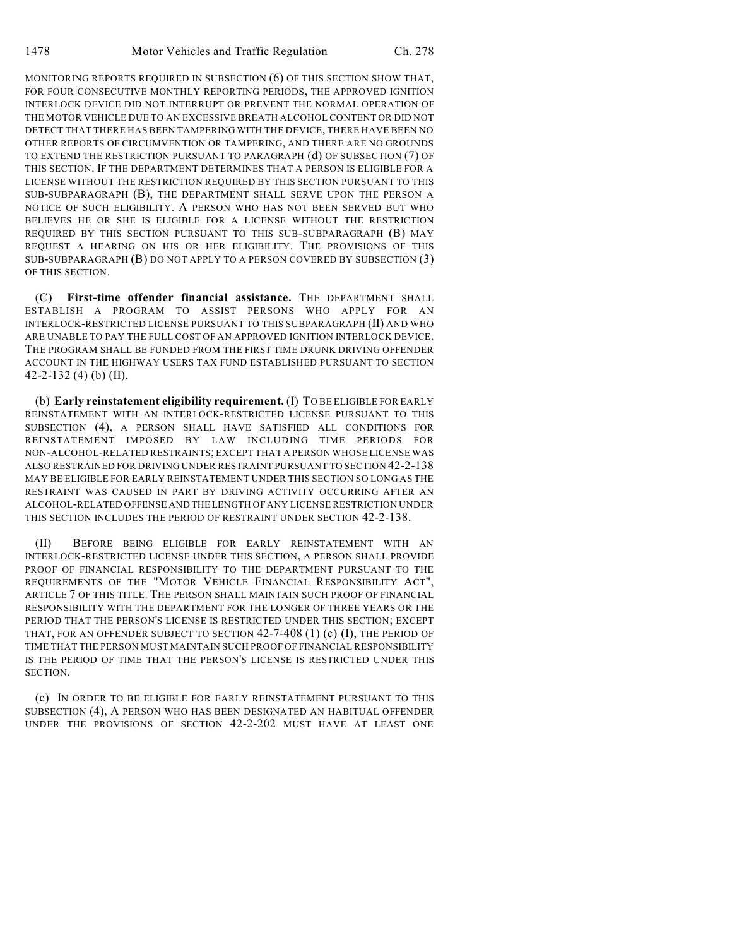MONITORING REPORTS REQUIRED IN SUBSECTION (6) OF THIS SECTION SHOW THAT, FOR FOUR CONSECUTIVE MONTHLY REPORTING PERIODS, THE APPROVED IGNITION INTERLOCK DEVICE DID NOT INTERRUPT OR PREVENT THE NORMAL OPERATION OF THE MOTOR VEHICLE DUE TO AN EXCESSIVE BREATH ALCOHOL CONTENT OR DID NOT DETECT THAT THERE HAS BEEN TAMPERING WITH THE DEVICE, THERE HAVE BEEN NO OTHER REPORTS OF CIRCUMVENTION OR TAMPERING, AND THERE ARE NO GROUNDS TO EXTEND THE RESTRICTION PURSUANT TO PARAGRAPH (d) OF SUBSECTION (7) OF THIS SECTION. IF THE DEPARTMENT DETERMINES THAT A PERSON IS ELIGIBLE FOR A LICENSE WITHOUT THE RESTRICTION REQUIRED BY THIS SECTION PURSUANT TO THIS SUB-SUBPARAGRAPH (B), THE DEPARTMENT SHALL SERVE UPON THE PERSON A NOTICE OF SUCH ELIGIBILITY. A PERSON WHO HAS NOT BEEN SERVED BUT WHO BELIEVES HE OR SHE IS ELIGIBLE FOR A LICENSE WITHOUT THE RESTRICTION REQUIRED BY THIS SECTION PURSUANT TO THIS SUB-SUBPARAGRAPH (B) MAY REQUEST A HEARING ON HIS OR HER ELIGIBILITY. THE PROVISIONS OF THIS SUB-SUBPARAGRAPH (B) DO NOT APPLY TO A PERSON COVERED BY SUBSECTION (3) OF THIS SECTION.

(C) **First-time offender financial assistance.** THE DEPARTMENT SHALL ESTABLISH A PROGRAM TO ASSIST PERSONS WHO APPLY FOR AN INTERLOCK-RESTRICTED LICENSE PURSUANT TO THIS SUBPARAGRAPH (II) AND WHO ARE UNABLE TO PAY THE FULL COST OF AN APPROVED IGNITION INTERLOCK DEVICE. THE PROGRAM SHALL BE FUNDED FROM THE FIRST TIME DRUNK DRIVING OFFENDER ACCOUNT IN THE HIGHWAY USERS TAX FUND ESTABLISHED PURSUANT TO SECTION 42-2-132 (4) (b) (II).

(b) **Early reinstatement eligibility requirement.** (I) TO BE ELIGIBLE FOR EARLY REINSTATEMENT WITH AN INTERLOCK-RESTRICTED LICENSE PURSUANT TO THIS SUBSECTION (4), A PERSON SHALL HAVE SATISFIED ALL CONDITIONS FOR REINSTATEMENT IMPOSED BY LAW INCLUDING TIME PERIODS FOR NON-ALCOHOL-RELATED RESTRAINTS; EXCEPT THAT A PERSON WHOSE LICENSE WAS ALSO RESTRAINED FOR DRIVING UNDER RESTRAINT PURSUANT TO SECTION 42-2-138 MAY BE ELIGIBLE FOR EARLY REINSTATEMENT UNDER THIS SECTION SO LONG AS THE RESTRAINT WAS CAUSED IN PART BY DRIVING ACTIVITY OCCURRING AFTER AN ALCOHOL-RELATED OFFENSE AND THE LENGTH OF ANY LICENSE RESTRICTION UNDER THIS SECTION INCLUDES THE PERIOD OF RESTRAINT UNDER SECTION 42-2-138.

(II) BEFORE BEING ELIGIBLE FOR EARLY REINSTATEMENT WITH AN INTERLOCK-RESTRICTED LICENSE UNDER THIS SECTION, A PERSON SHALL PROVIDE PROOF OF FINANCIAL RESPONSIBILITY TO THE DEPARTMENT PURSUANT TO THE REQUIREMENTS OF THE "MOTOR VEHICLE FINANCIAL RESPONSIBILITY ACT", ARTICLE 7 OF THIS TITLE. THE PERSON SHALL MAINTAIN SUCH PROOF OF FINANCIAL RESPONSIBILITY WITH THE DEPARTMENT FOR THE LONGER OF THREE YEARS OR THE PERIOD THAT THE PERSON'S LICENSE IS RESTRICTED UNDER THIS SECTION; EXCEPT THAT, FOR AN OFFENDER SUBJECT TO SECTION  $42-7-408$  (1) (c) (I), THE PERIOD OF TIME THAT THE PERSON MUST MAINTAIN SUCH PROOF OF FINANCIAL RESPONSIBILITY IS THE PERIOD OF TIME THAT THE PERSON'S LICENSE IS RESTRICTED UNDER THIS SECTION.

(c) IN ORDER TO BE ELIGIBLE FOR EARLY REINSTATEMENT PURSUANT TO THIS SUBSECTION (4), A PERSON WHO HAS BEEN DESIGNATED AN HABITUAL OFFENDER UNDER THE PROVISIONS OF SECTION 42-2-202 MUST HAVE AT LEAST ONE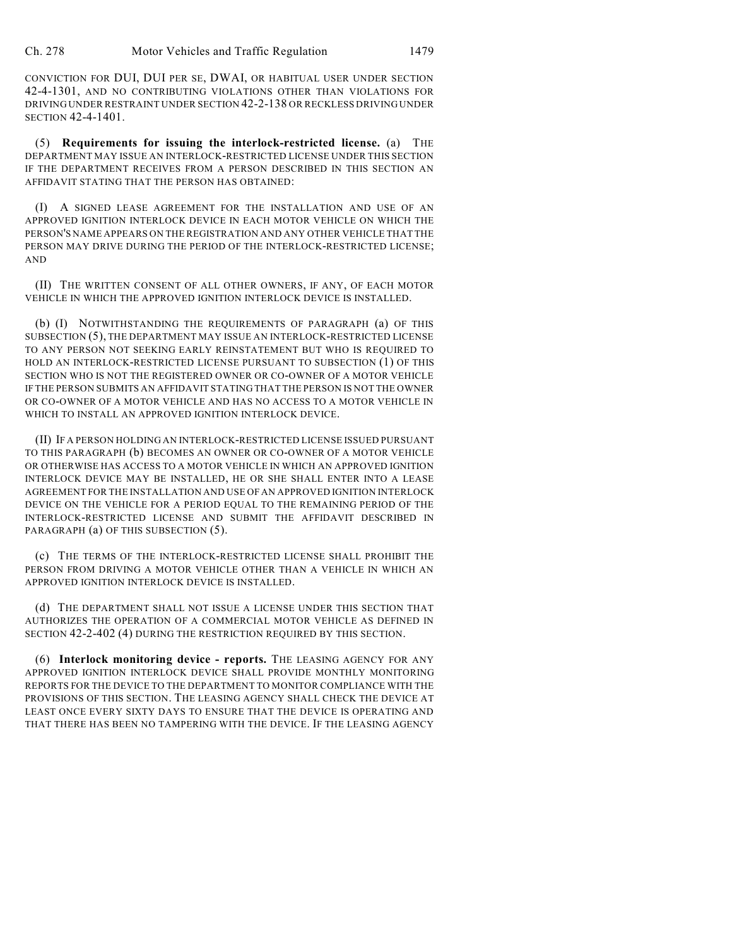CONVICTION FOR DUI, DUI PER SE, DWAI, OR HABITUAL USER UNDER SECTION 42-4-1301, AND NO CONTRIBUTING VIOLATIONS OTHER THAN VIOLATIONS FOR DRIVING UNDER RESTRAINT UNDER SECTION 42-2-138 OR RECKLESS DRIVING UNDER SECTION 42-4-1401.

(5) **Requirements for issuing the interlock-restricted license.** (a) THE DEPARTMENT MAY ISSUE AN INTERLOCK-RESTRICTED LICENSE UNDER THIS SECTION IF THE DEPARTMENT RECEIVES FROM A PERSON DESCRIBED IN THIS SECTION AN AFFIDAVIT STATING THAT THE PERSON HAS OBTAINED:

(I) A SIGNED LEASE AGREEMENT FOR THE INSTALLATION AND USE OF AN APPROVED IGNITION INTERLOCK DEVICE IN EACH MOTOR VEHICLE ON WHICH THE PERSON'S NAME APPEARS ON THE REGISTRATION AND ANY OTHER VEHICLE THAT THE PERSON MAY DRIVE DURING THE PERIOD OF THE INTERLOCK-RESTRICTED LICENSE; AND

(II) THE WRITTEN CONSENT OF ALL OTHER OWNERS, IF ANY, OF EACH MOTOR VEHICLE IN WHICH THE APPROVED IGNITION INTERLOCK DEVICE IS INSTALLED.

(b) (I) NOTWITHSTANDING THE REQUIREMENTS OF PARAGRAPH (a) OF THIS SUBSECTION (5), THE DEPARTMENT MAY ISSUE AN INTERLOCK-RESTRICTED LICENSE TO ANY PERSON NOT SEEKING EARLY REINSTATEMENT BUT WHO IS REQUIRED TO HOLD AN INTERLOCK-RESTRICTED LICENSE PURSUANT TO SUBSECTION (1) OF THIS SECTION WHO IS NOT THE REGISTERED OWNER OR CO-OWNER OF A MOTOR VEHICLE IF THE PERSON SUBMITS AN AFFIDAVIT STATING THAT THE PERSON IS NOT THE OWNER OR CO-OWNER OF A MOTOR VEHICLE AND HAS NO ACCESS TO A MOTOR VEHICLE IN WHICH TO INSTALL AN APPROVED IGNITION INTERLOCK DEVICE.

(II) IF A PERSON HOLDING AN INTERLOCK-RESTRICTED LICENSE ISSUED PURSUANT TO THIS PARAGRAPH (b) BECOMES AN OWNER OR CO-OWNER OF A MOTOR VEHICLE OR OTHERWISE HAS ACCESS TO A MOTOR VEHICLE IN WHICH AN APPROVED IGNITION INTERLOCK DEVICE MAY BE INSTALLED, HE OR SHE SHALL ENTER INTO A LEASE AGREEMENT FOR THE INSTALLATION AND USE OF AN APPROVED IGNITION INTERLOCK DEVICE ON THE VEHICLE FOR A PERIOD EQUAL TO THE REMAINING PERIOD OF THE INTERLOCK-RESTRICTED LICENSE AND SUBMIT THE AFFIDAVIT DESCRIBED IN PARAGRAPH (a) OF THIS SUBSECTION (5).

(c) THE TERMS OF THE INTERLOCK-RESTRICTED LICENSE SHALL PROHIBIT THE PERSON FROM DRIVING A MOTOR VEHICLE OTHER THAN A VEHICLE IN WHICH AN APPROVED IGNITION INTERLOCK DEVICE IS INSTALLED.

(d) THE DEPARTMENT SHALL NOT ISSUE A LICENSE UNDER THIS SECTION THAT AUTHORIZES THE OPERATION OF A COMMERCIAL MOTOR VEHICLE AS DEFINED IN SECTION 42-2-402 (4) DURING THE RESTRICTION REQUIRED BY THIS SECTION.

(6) **Interlock monitoring device - reports.** THE LEASING AGENCY FOR ANY APPROVED IGNITION INTERLOCK DEVICE SHALL PROVIDE MONTHLY MONITORING REPORTS FOR THE DEVICE TO THE DEPARTMENT TO MONITOR COMPLIANCE WITH THE PROVISIONS OF THIS SECTION. THE LEASING AGENCY SHALL CHECK THE DEVICE AT LEAST ONCE EVERY SIXTY DAYS TO ENSURE THAT THE DEVICE IS OPERATING AND THAT THERE HAS BEEN NO TAMPERING WITH THE DEVICE. IF THE LEASING AGENCY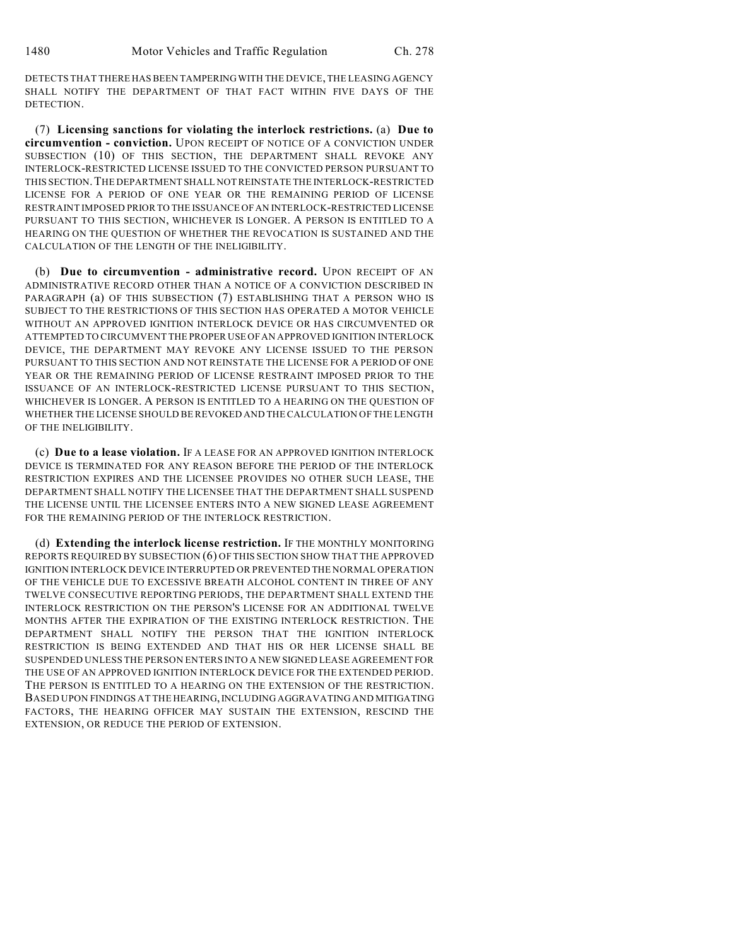DETECTS THAT THERE HASBEEN TAMPERINGWITH THE DEVICE, THE LEASING AGENCY SHALL NOTIFY THE DEPARTMENT OF THAT FACT WITHIN FIVE DAYS OF THE DETECTION.

(7) **Licensing sanctions for violating the interlock restrictions.** (a) **Due to circumvention - conviction.** UPON RECEIPT OF NOTICE OF A CONVICTION UNDER SUBSECTION (10) OF THIS SECTION, THE DEPARTMENT SHALL REVOKE ANY INTERLOCK-RESTRICTED LICENSE ISSUED TO THE CONVICTED PERSON PURSUANT TO THIS SECTION.THE DEPARTMENT SHALL NOT REINSTATE THE INTERLOCK-RESTRICTED LICENSE FOR A PERIOD OF ONE YEAR OR THE REMAINING PERIOD OF LICENSE RESTRAINT IMPOSED PRIOR TO THE ISSUANCE OFAN INTERLOCK-RESTRICTED LICENSE PURSUANT TO THIS SECTION, WHICHEVER IS LONGER. A PERSON IS ENTITLED TO A HEARING ON THE QUESTION OF WHETHER THE REVOCATION IS SUSTAINED AND THE CALCULATION OF THE LENGTH OF THE INELIGIBILITY.

(b) **Due to circumvention - administrative record.** UPON RECEIPT OF AN ADMINISTRATIVE RECORD OTHER THAN A NOTICE OF A CONVICTION DESCRIBED IN PARAGRAPH (a) OF THIS SUBSECTION (7) ESTABLISHING THAT A PERSON WHO IS SUBJECT TO THE RESTRICTIONS OF THIS SECTION HAS OPERATED A MOTOR VEHICLE WITHOUT AN APPROVED IGNITION INTERLOCK DEVICE OR HAS CIRCUMVENTED OR ATTEMPTED TO CIRCUMVENT THE PROPER USE OFAN APPROVED IGNITION INTERLOCK DEVICE, THE DEPARTMENT MAY REVOKE ANY LICENSE ISSUED TO THE PERSON PURSUANT TO THIS SECTION AND NOT REINSTATE THE LICENSE FOR A PERIOD OF ONE YEAR OR THE REMAINING PERIOD OF LICENSE RESTRAINT IMPOSED PRIOR TO THE ISSUANCE OF AN INTERLOCK-RESTRICTED LICENSE PURSUANT TO THIS SECTION, WHICHEVER IS LONGER. A PERSON IS ENTITLED TO A HEARING ON THE QUESTION OF WHETHER THE LICENSE SHOULD BE REVOKED AND THE CALCULATION OF THE LENGTH OF THE INELIGIBILITY.

(c) **Due to a lease violation.** IF A LEASE FOR AN APPROVED IGNITION INTERLOCK DEVICE IS TERMINATED FOR ANY REASON BEFORE THE PERIOD OF THE INTERLOCK RESTRICTION EXPIRES AND THE LICENSEE PROVIDES NO OTHER SUCH LEASE, THE DEPARTMENT SHALL NOTIFY THE LICENSEE THAT THE DEPARTMENT SHALL SUSPEND THE LICENSE UNTIL THE LICENSEE ENTERS INTO A NEW SIGNED LEASE AGREEMENT FOR THE REMAINING PERIOD OF THE INTERLOCK RESTRICTION.

(d) **Extending the interlock license restriction.** IF THE MONTHLY MONITORING REPORTS REQUIRED BY SUBSECTION (6) OF THIS SECTION SHOW THAT THE APPROVED IGNITION INTERLOCK DEVICE INTERRUPTED OR PREVENTED THE NORMAL OPERATION OF THE VEHICLE DUE TO EXCESSIVE BREATH ALCOHOL CONTENT IN THREE OF ANY TWELVE CONSECUTIVE REPORTING PERIODS, THE DEPARTMENT SHALL EXTEND THE INTERLOCK RESTRICTION ON THE PERSON'S LICENSE FOR AN ADDITIONAL TWELVE MONTHS AFTER THE EXPIRATION OF THE EXISTING INTERLOCK RESTRICTION. THE DEPARTMENT SHALL NOTIFY THE PERSON THAT THE IGNITION INTERLOCK RESTRICTION IS BEING EXTENDED AND THAT HIS OR HER LICENSE SHALL BE SUSPENDED UNLESS THE PERSON ENTERS INTO A NEW SIGNED LEASE AGREEMENT FOR THE USE OF AN APPROVED IGNITION INTERLOCK DEVICE FOR THE EXTENDED PERIOD. THE PERSON IS ENTITLED TO A HEARING ON THE EXTENSION OF THE RESTRICTION. BASED UPON FINDINGS AT THE HEARING, INCLUDING AGGRAVATING AND MITIGATING FACTORS, THE HEARING OFFICER MAY SUSTAIN THE EXTENSION, RESCIND THE EXTENSION, OR REDUCE THE PERIOD OF EXTENSION.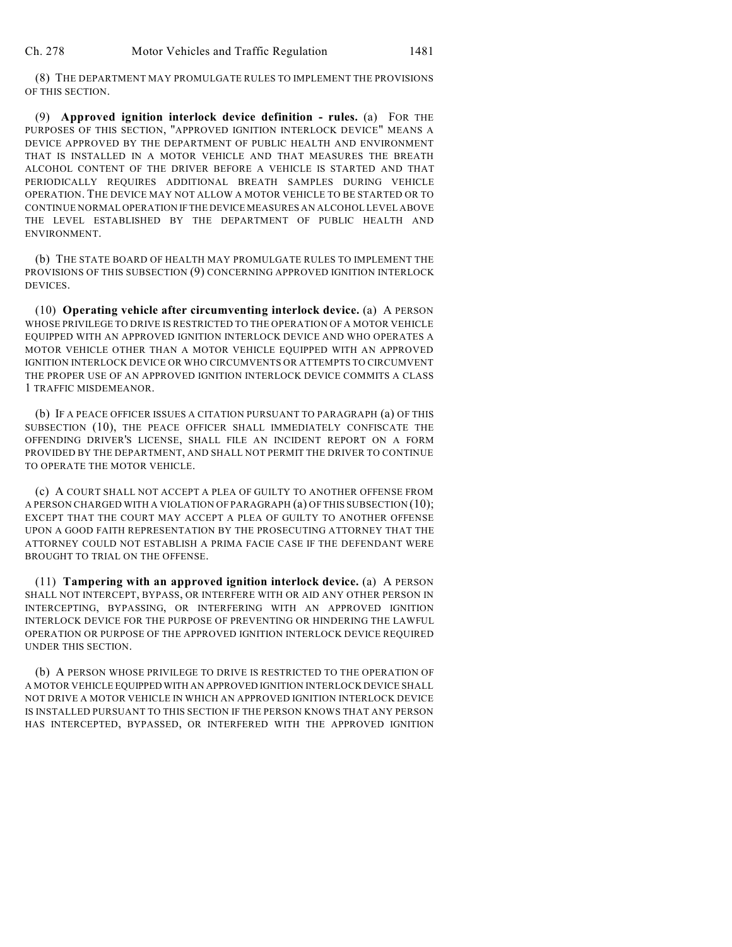(8) THE DEPARTMENT MAY PROMULGATE RULES TO IMPLEMENT THE PROVISIONS OF THIS SECTION.

(9) **Approved ignition interlock device definition - rules.** (a) FOR THE PURPOSES OF THIS SECTION, "APPROVED IGNITION INTERLOCK DEVICE" MEANS A DEVICE APPROVED BY THE DEPARTMENT OF PUBLIC HEALTH AND ENVIRONMENT THAT IS INSTALLED IN A MOTOR VEHICLE AND THAT MEASURES THE BREATH ALCOHOL CONTENT OF THE DRIVER BEFORE A VEHICLE IS STARTED AND THAT PERIODICALLY REQUIRES ADDITIONAL BREATH SAMPLES DURING VEHICLE OPERATION. THE DEVICE MAY NOT ALLOW A MOTOR VEHICLE TO BE STARTED OR TO CONTINUE NORMAL OPERATION IFTHE DEVICE MEASURES AN ALCOHOL LEVEL ABOVE THE LEVEL ESTABLISHED BY THE DEPARTMENT OF PUBLIC HEALTH AND ENVIRONMENT.

(b) THE STATE BOARD OF HEALTH MAY PROMULGATE RULES TO IMPLEMENT THE PROVISIONS OF THIS SUBSECTION (9) CONCERNING APPROVED IGNITION INTERLOCK DEVICES.

(10) **Operating vehicle after circumventing interlock device.** (a) A PERSON WHOSE PRIVILEGE TO DRIVE IS RESTRICTED TO THE OPERATION OF A MOTOR VEHICLE EQUIPPED WITH AN APPROVED IGNITION INTERLOCK DEVICE AND WHO OPERATES A MOTOR VEHICLE OTHER THAN A MOTOR VEHICLE EQUIPPED WITH AN APPROVED IGNITION INTERLOCK DEVICE OR WHO CIRCUMVENTS OR ATTEMPTS TO CIRCUMVENT THE PROPER USE OF AN APPROVED IGNITION INTERLOCK DEVICE COMMITS A CLASS 1 TRAFFIC MISDEMEANOR.

(b) IF A PEACE OFFICER ISSUES A CITATION PURSUANT TO PARAGRAPH (a) OF THIS SUBSECTION (10), THE PEACE OFFICER SHALL IMMEDIATELY CONFISCATE THE OFFENDING DRIVER'S LICENSE, SHALL FILE AN INCIDENT REPORT ON A FORM PROVIDED BY THE DEPARTMENT, AND SHALL NOT PERMIT THE DRIVER TO CONTINUE TO OPERATE THE MOTOR VEHICLE.

(c) A COURT SHALL NOT ACCEPT A PLEA OF GUILTY TO ANOTHER OFFENSE FROM A PERSON CHARGED WITH A VIOLATION OF PARAGRAPH (a) OF THIS SUBSECTION (10); EXCEPT THAT THE COURT MAY ACCEPT A PLEA OF GUILTY TO ANOTHER OFFENSE UPON A GOOD FAITH REPRESENTATION BY THE PROSECUTING ATTORNEY THAT THE ATTORNEY COULD NOT ESTABLISH A PRIMA FACIE CASE IF THE DEFENDANT WERE BROUGHT TO TRIAL ON THE OFFENSE.

(11) **Tampering with an approved ignition interlock device.** (a) A PERSON SHALL NOT INTERCEPT, BYPASS, OR INTERFERE WITH OR AID ANY OTHER PERSON IN INTERCEPTING, BYPASSING, OR INTERFERING WITH AN APPROVED IGNITION INTERLOCK DEVICE FOR THE PURPOSE OF PREVENTING OR HINDERING THE LAWFUL OPERATION OR PURPOSE OF THE APPROVED IGNITION INTERLOCK DEVICE REQUIRED UNDER THIS SECTION.

(b) A PERSON WHOSE PRIVILEGE TO DRIVE IS RESTRICTED TO THE OPERATION OF A MOTOR VEHICLE EQUIPPED WITH AN APPROVED IGNITION INTERLOCK DEVICE SHALL NOT DRIVE A MOTOR VEHICLE IN WHICH AN APPROVED IGNITION INTERLOCK DEVICE IS INSTALLED PURSUANT TO THIS SECTION IF THE PERSON KNOWS THAT ANY PERSON HAS INTERCEPTED, BYPASSED, OR INTERFERED WITH THE APPROVED IGNITION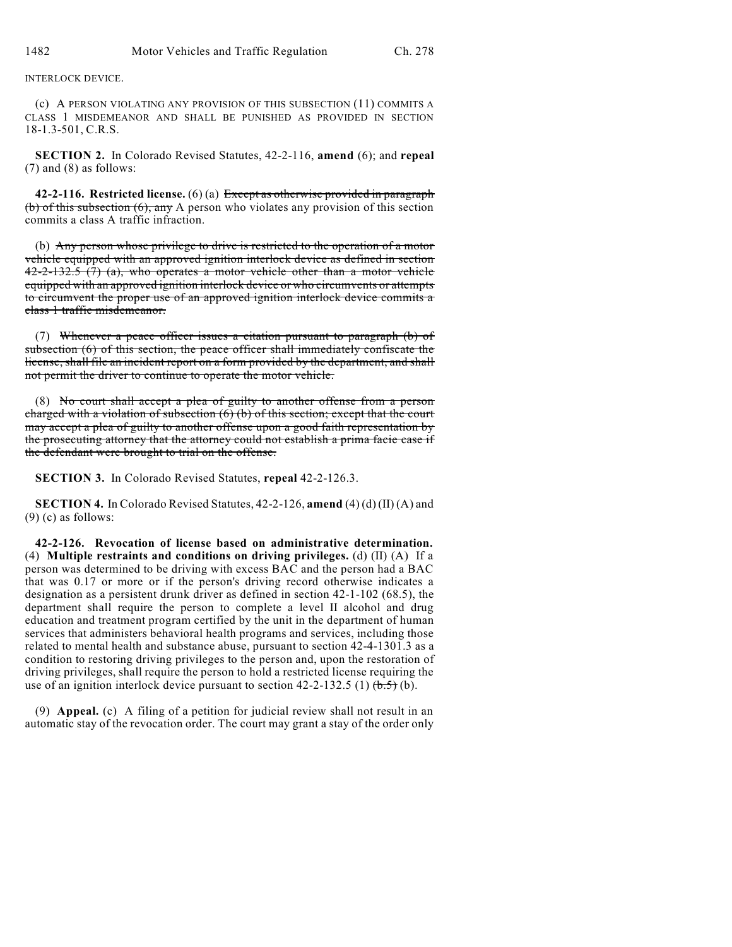INTERLOCK DEVICE.

(c) A PERSON VIOLATING ANY PROVISION OF THIS SUBSECTION (11) COMMITS A CLASS 1 MISDEMEANOR AND SHALL BE PUNISHED AS PROVIDED IN SECTION 18-1.3-501, C.R.S.

**SECTION 2.** In Colorado Revised Statutes, 42-2-116, **amend** (6); and **repeal** (7) and (8) as follows:

**42-2-116. Restricted license.** (6) (a) Except as otherwise provided in paragraph (b) of this subsection  $(6)$ , any A person who violates any provision of this section commits a class A traffic infraction.

(b) Any person whose privilege to drive is restricted to the operation of a motor vehicle equipped with an approved ignition interlock device as defined in section  $42-2-132.5$  (7) (a), who operates a motor vehicle other than a motor vehicle equipped with an approved ignition interlock device or who circumvents or attempts to circumvent the proper use of an approved ignition interlock device commits a class 1 traffic misdemeanor.

(7) Whenever a peace officer issues a citation pursuant to paragraph (b) of subsection (6) of this section, the peace officer shall immediately confiscate the license, shall file an incident report on a form provided by the department, and shall not permit the driver to continue to operate the motor vehicle.

(8) No court shall accept a plea of guilty to another offense from a person charged with a violation of subsection  $(6)$  (b) of this section; except that the court may accept a plea of guilty to another offense upon a good faith representation by the prosecuting attorney that the attorney could not establish a prima facie case if the defendant were brought to trial on the offense.

**SECTION 3.** In Colorado Revised Statutes, **repeal** 42-2-126.3.

**SECTION 4.** In Colorado Revised Statutes, 42-2-126, **amend** (4) (d) (II) (A) and  $(9)$  (c) as follows:

**42-2-126. Revocation of license based on administrative determination.** (4) **Multiple restraints and conditions on driving privileges.** (d) (II) (A) If a person was determined to be driving with excess BAC and the person had a BAC that was 0.17 or more or if the person's driving record otherwise indicates a designation as a persistent drunk driver as defined in section 42-1-102 (68.5), the department shall require the person to complete a level II alcohol and drug education and treatment program certified by the unit in the department of human services that administers behavioral health programs and services, including those related to mental health and substance abuse, pursuant to section 42-4-1301.3 as a condition to restoring driving privileges to the person and, upon the restoration of driving privileges, shall require the person to hold a restricted license requiring the use of an ignition interlock device pursuant to section 42-2-132.5 (1)  $(\frac{1}{6\cdot5})$  (b).

(9) **Appeal.** (c) A filing of a petition for judicial review shall not result in an automatic stay of the revocation order. The court may grant a stay of the order only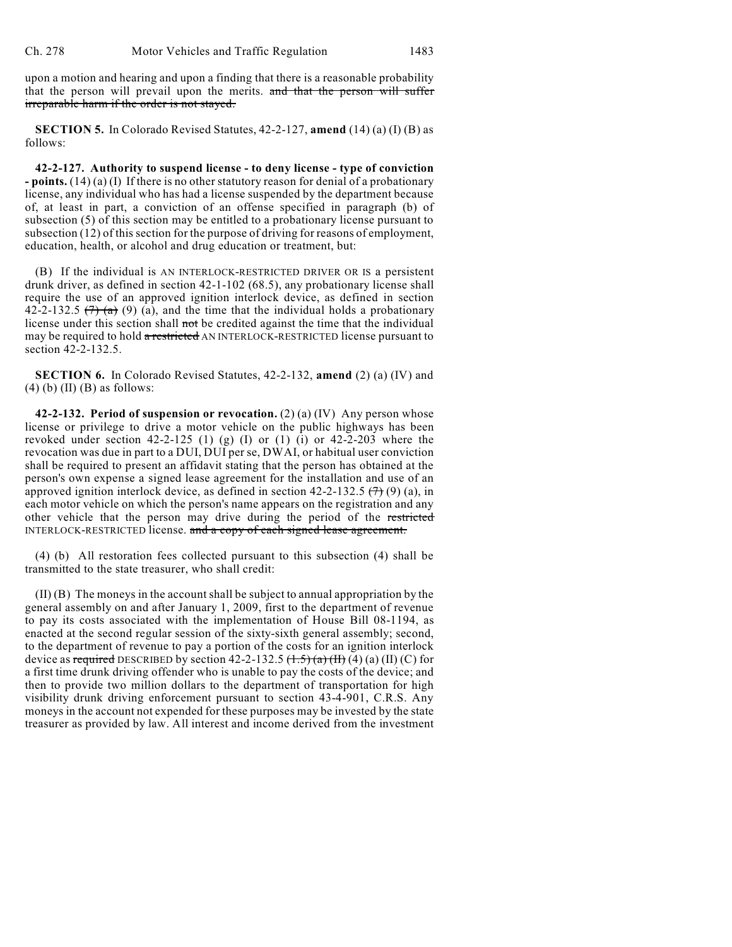upon a motion and hearing and upon a finding that there is a reasonable probability that the person will prevail upon the merits. and that the person will suffer irreparable harm if the order is not stayed.

**SECTION 5.** In Colorado Revised Statutes, 42-2-127, **amend** (14) (a) (I) (B) as follows:

**42-2-127. Authority to suspend license - to deny license - type of conviction - points.** (14) (a) (I) If there is no other statutory reason for denial of a probationary license, any individual who has had a license suspended by the department because of, at least in part, a conviction of an offense specified in paragraph (b) of subsection (5) of this section may be entitled to a probationary license pursuant to subsection (12) of this section for the purpose of driving for reasons of employment, education, health, or alcohol and drug education or treatment, but:

(B) If the individual is AN INTERLOCK-RESTRICTED DRIVER OR IS a persistent drunk driver, as defined in section 42-1-102 (68.5), any probationary license shall require the use of an approved ignition interlock device, as defined in section 42-2-132.5  $(7)$  (a) (a), and the time that the individual holds a probationary license under this section shall not be credited against the time that the individual may be required to hold a restricted AN INTERLOCK-RESTRICTED license pursuant to section 42-2-132.5.

**SECTION 6.** In Colorado Revised Statutes, 42-2-132, **amend** (2) (a) (IV) and  $(4)$  (b)  $(II)$  (B) as follows:

**42-2-132. Period of suspension or revocation.** (2) (a) (IV) Any person whose license or privilege to drive a motor vehicle on the public highways has been revoked under section  $42-2-125$  (1) (g) (I) or (1) (i) or  $42-2-203$  where the revocation was due in part to a DUI, DUI per se, DWAI, or habitual user conviction shall be required to present an affidavit stating that the person has obtained at the person's own expense a signed lease agreement for the installation and use of an approved ignition interlock device, as defined in section 42-2-132.5  $(7)$  (9) (a), in each motor vehicle on which the person's name appears on the registration and any other vehicle that the person may drive during the period of the restricted INTERLOCK-RESTRICTED license. and a copy of each signed lease agreement.

(4) (b) All restoration fees collected pursuant to this subsection (4) shall be transmitted to the state treasurer, who shall credit:

(II) (B) The moneys in the account shall be subject to annual appropriation by the general assembly on and after January 1, 2009, first to the department of revenue to pay its costs associated with the implementation of House Bill 08-1194, as enacted at the second regular session of the sixty-sixth general assembly; second, to the department of revenue to pay a portion of the costs for an ignition interlock device as required DESCRIBED by section  $42-2-132.5$   $(\frac{1}{1.5})(\frac{1}{\alpha})(\frac{1}{1.6})(\alpha)(\frac{1}{1.6})(\frac{1}{\alpha})$  for a first time drunk driving offender who is unable to pay the costs of the device; and then to provide two million dollars to the department of transportation for high visibility drunk driving enforcement pursuant to section 43-4-901, C.R.S. Any moneys in the account not expended for these purposes may be invested by the state treasurer as provided by law. All interest and income derived from the investment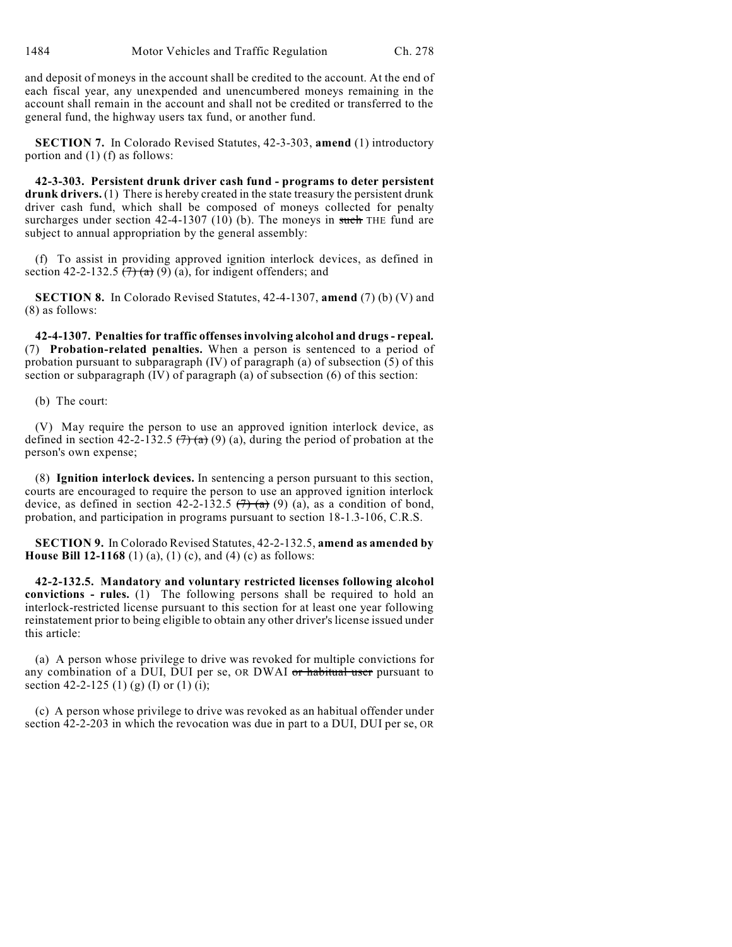and deposit of moneys in the account shall be credited to the account. At the end of each fiscal year, any unexpended and unencumbered moneys remaining in the account shall remain in the account and shall not be credited or transferred to the general fund, the highway users tax fund, or another fund.

**SECTION 7.** In Colorado Revised Statutes, 42-3-303, **amend** (1) introductory portion and (1) (f) as follows:

**42-3-303. Persistent drunk driver cash fund - programs to deter persistent drunk drivers.** (1) There is hereby created in the state treasury the persistent drunk driver cash fund, which shall be composed of moneys collected for penalty surcharges under section  $42-4-1307$  (10) (b). The moneys in such THE fund are subject to annual appropriation by the general assembly:

(f) To assist in providing approved ignition interlock devices, as defined in section 42-2-132.5  $(7)$  (a) (a), for indigent offenders; and

**SECTION 8.** In Colorado Revised Statutes, 42-4-1307, **amend** (7) (b) (V) and (8) as follows:

**42-4-1307. Penalties for traffic offensesinvolving alcohol and drugs- repeal.** (7) **Probation-related penalties.** When a person is sentenced to a period of probation pursuant to subparagraph (IV) of paragraph (a) of subsection (5) of this section or subparagraph (IV) of paragraph (a) of subsection (6) of this section:

(b) The court:

(V) May require the person to use an approved ignition interlock device, as defined in section 42-2-132.5  $(7)$  (a) (a), during the period of probation at the person's own expense;

(8) **Ignition interlock devices.** In sentencing a person pursuant to this section, courts are encouraged to require the person to use an approved ignition interlock device, as defined in section 42-2-132.5  $(7)$  (a) (a), as a condition of bond, probation, and participation in programs pursuant to section 18-1.3-106, C.R.S.

**SECTION 9.** In Colorado Revised Statutes, 42-2-132.5, **amend as amended by House Bill 12-1168** (1) (a), (1) (c), and (4) (c) as follows:

**42-2-132.5. Mandatory and voluntary restricted licenses following alcohol convictions - rules.** (1) The following persons shall be required to hold an interlock-restricted license pursuant to this section for at least one year following reinstatement prior to being eligible to obtain any other driver's license issued under this article:

(a) A person whose privilege to drive was revoked for multiple convictions for any combination of a DUI, DUI per se, OR DWAI or habitual user pursuant to section 42-2-125 (1) (g) (I) or (1) (i);

(c) A person whose privilege to drive was revoked as an habitual offender under section 42-2-203 in which the revocation was due in part to a DUI, DUI per se, OR